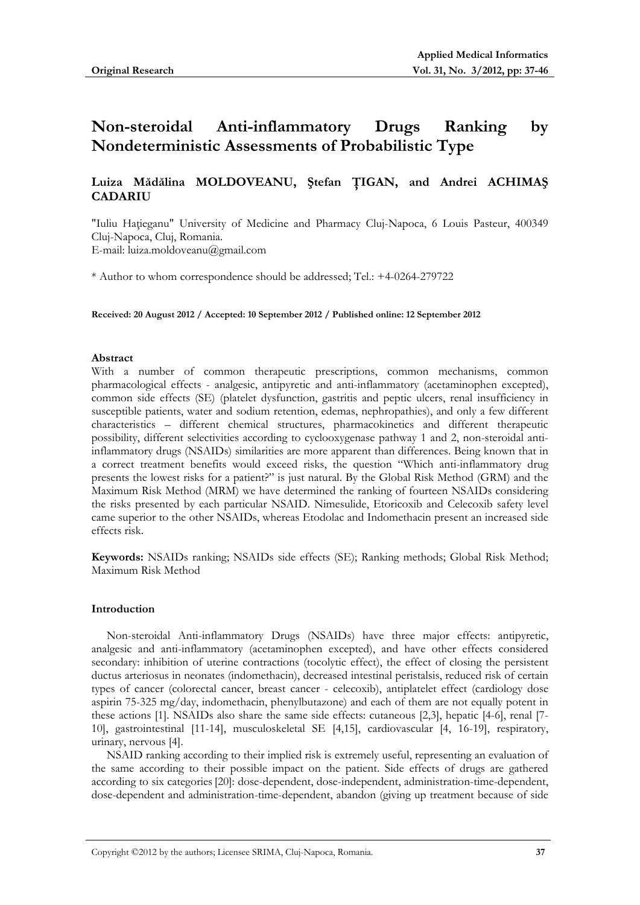# **Non-steroidal Anti-inflammatory Drugs Ranking by Nondeterministic Assessments of Probabilistic Type**

## **Luiza Mădălina MOLDOVEANU, Ştefan ŢIGAN, and Andrei ACHIMAŞ CADARIU**

"Iuliu Haţieganu" University of Medicine and Pharmacy Cluj-Napoca, 6 Louis Pasteur, 400349 Cluj-Napoca, Cluj, Romania. E-mail: luiza.moldoveanu@gmail.com

\* Author to whom correspondence should be addressed; Tel.: +4-0264-279722

**Received: 20 August 2012 / Accepted: 10 September 2012 / Published online: 12 September 2012** 

#### **Abstract**

With a number of common therapeutic prescriptions, common mechanisms, common pharmacological effects - analgesic, antipyretic and anti-inflammatory (acetaminophen excepted), common side effects (SE) (platelet dysfunction, gastritis and peptic ulcers, renal insufficiency in susceptible patients, water and sodium retention, edemas, nephropathies), and only a few different characteristics – different chemical structures, pharmacokinetics and different therapeutic possibility, different selectivities according to cyclooxygenase pathway 1 and 2, non-steroidal antiinflammatory drugs (NSAIDs) similarities are more apparent than differences. Being known that in a correct treatment benefits would exceed risks, the question "Which anti-inflammatory drug presents the lowest risks for a patient?" is just natural. By the Global Risk Method (GRM) and the Maximum Risk Method (MRM) we have determined the ranking of fourteen NSAIDs considering the risks presented by each particular NSAID. Nimesulide, Etoricoxib and Celecoxib safety level came superior to the other NSAIDs, whereas Etodolac and Indomethacin present an increased side effects risk.

**Keywords:** NSAIDs ranking; NSAIDs side effects (SE); Ranking methods; Global Risk Method; Maximum Risk Method

#### **Introduction**

Non-steroidal Anti-inflammatory Drugs (NSAIDs) have three major effects: antipyretic, analgesic and anti-inflammatory (acetaminophen excepted), and have other effects considered secondary: inhibition of uterine contractions (tocolytic effect), the effect of closing the persistent ductus arteriosus in neonates (indomethacin), decreased intestinal peristalsis, reduced risk of certain types of cancer (colorectal cancer, breast cancer - celecoxib), antiplatelet effect (cardiology dose aspirin 75-325 mg/day, indomethacin, phenylbutazone) and each of them are not equally potent in these actions [1]. NSAIDs also share the same side effects: cutaneous [2,3], hepatic [4-6], renal [7- 10], gastrointestinal [11-14], musculoskeletal SE [4,15], cardiovascular [4, 16-19], respiratory, urinary, nervous [4].

NSAID ranking according to their implied risk is extremely useful, representing an evaluation of the same according to their possible impact on the patient. Side effects of drugs are gathered according to six categories[20]: dose-dependent, dose-independent, administration-time-dependent, dose-dependent and administration-time-dependent, abandon (giving up treatment because of side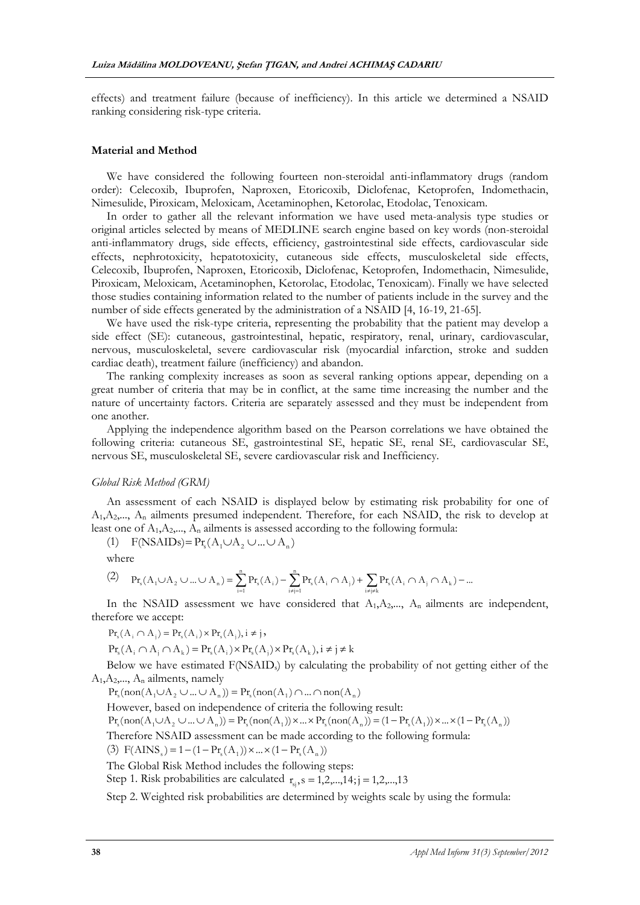effects) and treatment failure (because of inefficiency). In this article we determined a NSAID ranking considering risk-type criteria.

#### **Material and Method**

We have considered the following fourteen non-steroidal anti-inflammatory drugs (random order): Celecoxib, Ibuprofen, Naproxen, Etoricoxib, Diclofenac, Ketoprofen, Indomethacin, Nimesulide, Piroxicam, Meloxicam, Acetaminophen, Ketorolac, Etodolac, Tenoxicam.

In order to gather all the relevant information we have used meta-analysis type studies or original articles selected by means of MEDLINE search engine based on key words (non-steroidal anti-inflammatory drugs, side effects, efficiency, gastrointestinal side effects, cardiovascular side effects, nephrotoxicity, hepatotoxicity, cutaneous side effects, musculoskeletal side effects, Celecoxib, Ibuprofen, Naproxen, Etoricoxib, Diclofenac, Ketoprofen, Indomethacin, Nimesulide, Piroxicam, Meloxicam, Acetaminophen, Ketorolac, Etodolac, Tenoxicam). Finally we have selected those studies containing information related to the number of patients include in the survey and the number of side effects generated by the administration of a NSAID [4, 16-19, 21-65].

We have used the risk-type criteria, representing the probability that the patient may develop a side effect (SE): cutaneous, gastrointestinal, hepatic, respiratory, renal, urinary, cardiovascular, nervous, musculoskeletal, severe cardiovascular risk (myocardial infarction, stroke and sudden cardiac death), treatment failure (inefficiency) and abandon.

The ranking complexity increases as soon as several ranking options appear, depending on a great number of criteria that may be in conflict, at the same time increasing the number and the nature of uncertainty factors. Criteria are separately assessed and they must be independent from one another.

Applying the independence algorithm based on the Pearson correlations we have obtained the following criteria: cutaneous SE, gastrointestinal SE, hepatic SE, renal SE, cardiovascular SE, nervous SE, musculoskeletal SE, severe cardiovascular risk and Inefficiency.

#### *Global Risk Method (GRM)*

An assessment of each NSAID is displayed below by estimating risk probability for one of  $A_1, A_2, \ldots, A_n$  ailments presumed independent. Therefore, for each NSAID, the risk to develop at least one of  $A_1, A_2, \ldots, A_n$  ailments is assessed according to the following formula:

(1)  $F(NSAIDs) = Pr_s(A_1 \cup A_2 \cup ... \cup A_n)$ 

where

$$
(2) \quad p_{\mathbf{f}_s}(A_1 \cup A_2 \cup ... \cup A_n) = \sum_{i=1}^n p_{\mathbf{f}_s}(A_i) - \sum_{i \neq j=1}^n p_{\mathbf{f}_s}(A_i \cap A_j) + \sum_{i \neq j \neq k} p_{\mathbf{f}_s}(A_i \cap A_j \cap A_k) - ...
$$

In the NSAID assessment we have considered that  $A_1, A_2, \ldots, A_n$  ailments are independent, therefore we accept:

 $\Pr_s(A_i \cap A_i) = \Pr_s(A_i) \times \Pr_s(A_i), i \neq j$ 

 $Pr_s(A_i \cap A_i \cap A_k) = Pr_s(A_i) \times Pr_s(A_i) \times Pr_s(A_k), i \neq j \neq k$ 

Below we have estimated  $F(NSAID<sub>s</sub>)$  by calculating the probability of not getting either of the  $A_1, A_2, \ldots, A_n$  ailments, namely

 $\Pr_{\mathbf{x}}(\text{non}(A_1 \cup A_2 \cup ... \cup A_n)) = \Pr_{\mathbf{x}}(\text{non}(A_1) \cap ... \cap \text{non}(A_n))$ 

However, based on independence of criteria the following result:

 $\Pr_s(\text{non}(A_1 \cup A_2 \cup ... \cup A_n)) = \Pr_s(\text{non}(A_1)) \times ... \times \Pr_s(\text{non}(A_n)) = (1 - \Pr_s(A_1)) \times ... \times (1 - \Pr_s(A_n))$ 

Therefore NSAID assessment can be made according to the following formula:

(3)  $F(AINS_{s}) = 1 - (1 - Pr_{s}(A_{1})) \times ... \times (1 - Pr_{s}(A_{n}))$ 

The Global Risk Method includes the following steps:

Step 1. Risk probabilities are calculated  $r_s$ ,  $s = 1,2,...,14$ ; $j = 1,2,...,13$ 

Step 2. Weighted risk probabilities are determined by weights scale by using the formula: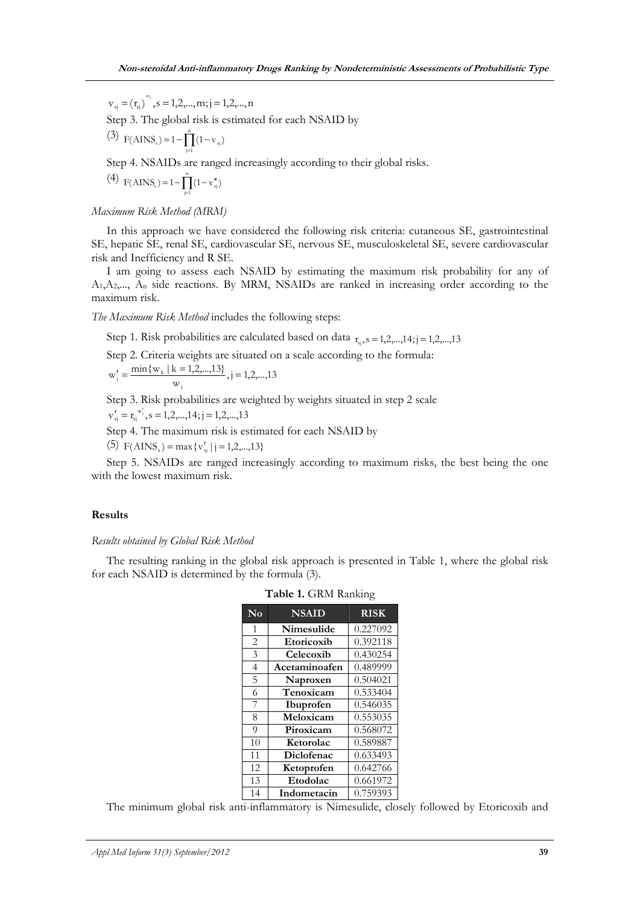$v_{si} = (r_{si})^{w_i}, s = 1,2,...,m; j = 1,2,...,n$ Step 3. The global risk is estimated for each NSAID by (3)  $F(AINS_s) = 1 - \prod_{j=1}^{n} (1 - v_{sj})$  $j=1$ 

Step 4. NSAIDs are ranged increasingly according to their global risks.

(4)  $F(AINS<sub>s</sub>) = 1 - \prod_{j=1}^{n} (1 - v''<sub>si</sub>)$  $F(AINS<sub>s</sub>) = 1 - \prod_{j=1} (1 - v''<sub>sj</sub>)$ 

## *Maximum Risk Method (MRM)*

In this approach we have considered the following risk criteria: cutaneous SE, gastrointestinal SE, hepatic SE, renal SE, cardiovascular SE, nervous SE, musculoskeletal SE, severe cardiovascular risk and Inefficiency and R SE.

I am going to assess each NSAID by estimating the maximum risk probability for any of  $A_1, A_2, \ldots, A_n$  side reactions. By MRM, NSAIDs are ranked in increasing order according to the maximum risk.

*The Maximum Risk Method* includes the following steps:

Step 1. Risk probabilities are calculated based on data  $r_{si}$ ,  $s = 1,2,...,14$ ; j = 1,2,...,13

Step 2. Criteria weights are situated on a scale according to the formula:

 $w'_{j} = \frac{\min\{w_{k} | k = 1, 2, \dots, 13\}}{w_{i}}, j = 1, 2, \dots, 13$ j  $k'_{i} = \frac{\min\{w_{k} | k = 1, 2, \dots, 13\}}{k}$ , j

Step 3. Risk probabilities are weighted by weights situated in step 2 scale

 $v'_{si} = r_{si}^{w'_{i}}, s = 1,2,...,14; j = 1,2,...,13$ 

Step 4. The maximum risk is estimated for each NSAID by

(5)  $F(AINS<sub>s</sub>) = max{v'<sub>si</sub> | j = 1,2,...,13}$ 

Step 5. NSAIDs are ranged increasingly according to maximum risks, the best being the one with the lowest maximum risk.

#### **Results**

#### *Results obtained by Global Risk Method*

The resulting ranking in the global risk approach is presented in Table 1, where the global risk for each NSAID is determined by the formula (3).

| No             | <b>NSAID</b>  | <b>RISK</b> |
|----------------|---------------|-------------|
| 1              | Nimesulide    | 0.227092    |
| $\overline{2}$ | Etoricoxib    | 0.392118    |
| 3              | Celecoxib     | 0.430254    |
| $\overline{4}$ | Acetaminoafen | 0.489999    |
| $\overline{5}$ | Naproxen      | 0.504021    |
| 6              | Tenoxicam     | 0.533404    |
| 7              | Ibuprofen     | 0.546035    |
| 8              | Meloxicam     | 0.553035    |
| 9              | Piroxicam     | 0.568072    |
| 10             | Ketorolac     | 0.589887    |
| 11             | Diclofenac    | 0.633493    |
| 12             | Ketoprofen    | 0.642766    |
| 13             | Etodolac      | 0.661972    |
| 14             | Indometacin   | 0.759393    |

**Table 1.** GRM Ranking

The minimum global risk anti-inflammatory is Nimesulide, closely followed by Etoricoxib and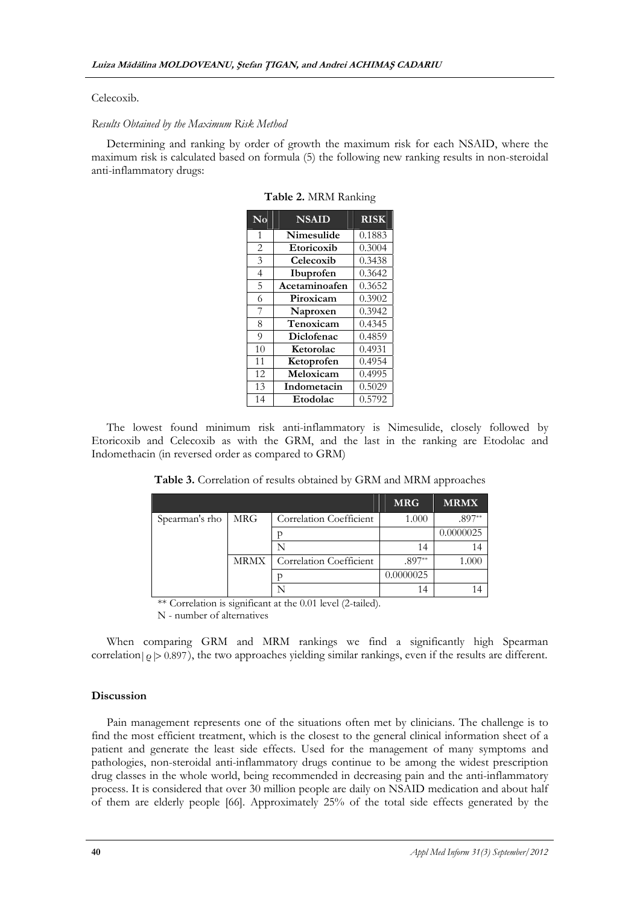#### Celecoxib.

## *Results Obtained by the Maximum Risk Method*

Determining and ranking by order of growth the maximum risk for each NSAID, where the maximum risk is calculated based on formula (5) the following new ranking results in non-steroidal anti-inflammatory drugs:

| No             | <b>NSAID</b>  | <b>RISK</b> |
|----------------|---------------|-------------|
| 1              | Nimesulide    | 0.1883      |
| $\overline{2}$ | Etoricoxib    | 0.3004      |
| 3              | Celecoxib     | 0.3438      |
| $\overline{4}$ | Ibuprofen     | 0.3642      |
| 5              | Acetaminoafen | 0.3652      |
| 6              | Piroxicam     | 0.3902      |
| 7              | Naproxen      | 0.3942      |
| 8              | Tenoxicam     | 0.4345      |
| 9              | Diclofenac    | 0.4859      |
| 10             | Ketorolac     | 0.4931      |
| 11             | Ketoprofen    | 0.4954      |
| 12             | Meloxicam     | 0.4995      |
| 13             | Indometacin   | 0.5029      |
| 14             | Etodolac      | 0.5792      |

**Table 2.** MRM Ranking

The lowest found minimum risk anti-inflammatory is Nimesulide, closely followed by Etoricoxib and Celecoxib as with the GRM, and the last in the ranking are Etodolac and Indomethacin (in reversed order as compared to GRM)

|                |             |                         | <b>MRG</b> | <b>MRMX</b> |
|----------------|-------------|-------------------------|------------|-------------|
| Spearman's rho | <b>MRG</b>  | Correlation Coefficient | 1.000      | $.897**$    |
|                |             |                         |            | 0.0000025   |
|                |             |                         | 14         | 14          |
|                | <b>MRMX</b> | Correlation Coefficient | $.897**$   | LOOC        |
|                |             |                         | 0.0000025  |             |
|                |             |                         | 14         |             |

**Table 3.** Correlation of results obtained by GRM and MRM approaches

\*\* Correlation is significant at the 0.01 level (2-tailed).

N - number of alternatives

When comparing GRM and MRM rankings we find a significantly high Spearman correlation  $|\rho| > 0.897$ , the two approaches yielding similar rankings, even if the results are different.

#### **Discussion**

Pain management represents one of the situations often met by clinicians. The challenge is to find the most efficient treatment, which is the closest to the general clinical information sheet of a patient and generate the least side effects. Used for the management of many symptoms and pathologies, non-steroidal anti-inflammatory drugs continue to be among the widest prescription drug classes in the whole world, being recommended in decreasing pain and the anti-inflammatory process. It is considered that over 30 million people are daily on NSAID medication and about half of them are elderly people [66]. Approximately 25% of the total side effects generated by the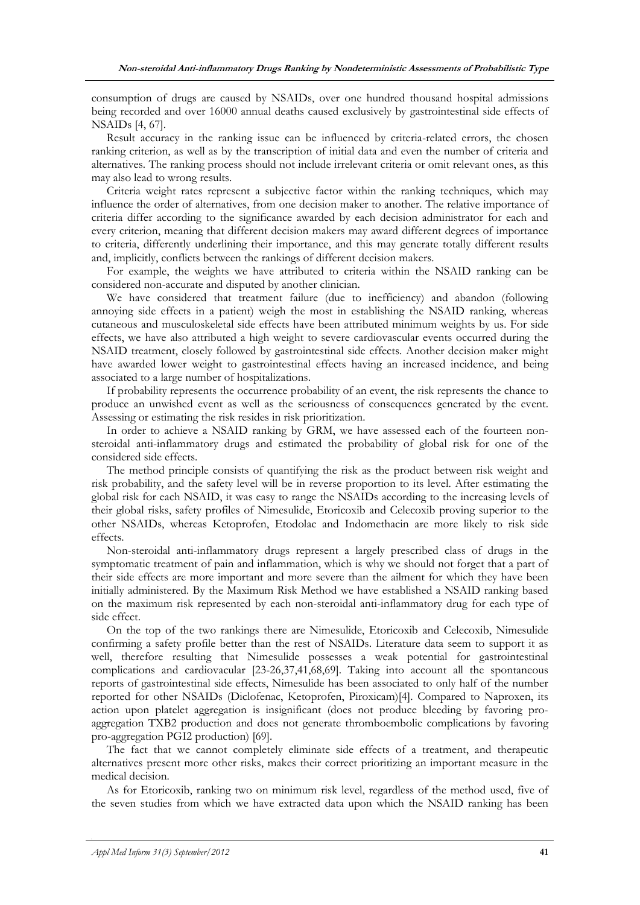consumption of drugs are caused by NSAIDs, over one hundred thousand hospital admissions being recorded and over 16000 annual deaths caused exclusively by gastrointestinal side effects of NSAIDs [4, 67].

Result accuracy in the ranking issue can be influenced by criteria-related errors, the chosen ranking criterion, as well as by the transcription of initial data and even the number of criteria and alternatives. The ranking process should not include irrelevant criteria or omit relevant ones, as this may also lead to wrong results.

Criteria weight rates represent a subjective factor within the ranking techniques, which may influence the order of alternatives, from one decision maker to another. The relative importance of criteria differ according to the significance awarded by each decision administrator for each and every criterion, meaning that different decision makers may award different degrees of importance to criteria, differently underlining their importance, and this may generate totally different results and, implicitly, conflicts between the rankings of different decision makers.

For example, the weights we have attributed to criteria within the NSAID ranking can be considered non-accurate and disputed by another clinician.

We have considered that treatment failure (due to inefficiency) and abandon (following annoying side effects in a patient) weigh the most in establishing the NSAID ranking, whereas cutaneous and musculoskeletal side effects have been attributed minimum weights by us. For side effects, we have also attributed a high weight to severe cardiovascular events occurred during the NSAID treatment, closely followed by gastrointestinal side effects. Another decision maker might have awarded lower weight to gastrointestinal effects having an increased incidence, and being associated to a large number of hospitalizations.

If probability represents the occurrence probability of an event, the risk represents the chance to produce an unwished event as well as the seriousness of consequences generated by the event. Assessing or estimating the risk resides in risk prioritization.

In order to achieve a NSAID ranking by GRM, we have assessed each of the fourteen nonsteroidal anti-inflammatory drugs and estimated the probability of global risk for one of the considered side effects.

The method principle consists of quantifying the risk as the product between risk weight and risk probability, and the safety level will be in reverse proportion to its level. After estimating the global risk for each NSAID, it was easy to range the NSAIDs according to the increasing levels of their global risks, safety profiles of Nimesulide, Etoricoxib and Celecoxib proving superior to the other NSAIDs, whereas Ketoprofen, Etodolac and Indomethacin are more likely to risk side effects.

Non-steroidal anti-inflammatory drugs represent a largely prescribed class of drugs in the symptomatic treatment of pain and inflammation, which is why we should not forget that a part of their side effects are more important and more severe than the ailment for which they have been initially administered. By the Maximum Risk Method we have established a NSAID ranking based on the maximum risk represented by each non-steroidal anti-inflammatory drug for each type of side effect.

On the top of the two rankings there are Nimesulide, Etoricoxib and Celecoxib, Nimesulide confirming a safety profile better than the rest of NSAIDs. Literature data seem to support it as well, therefore resulting that Nimesulide possesses a weak potential for gastrointestinal complications and cardiovacular [23-26,37,41,68,69]. Taking into account all the spontaneous reports of gastrointestinal side effects, Nimesulide has been associated to only half of the number reported for other NSAIDs (Diclofenac, Ketoprofen, Piroxicam)[4]. Compared to Naproxen, its action upon platelet aggregation is insignificant (does not produce bleeding by favoring proaggregation TXB2 production and does not generate thromboembolic complications by favoring pro-aggregation PGI2 production) [69].

The fact that we cannot completely eliminate side effects of a treatment, and therapeutic alternatives present more other risks, makes their correct prioritizing an important measure in the medical decision.

As for Etoricoxib, ranking two on minimum risk level, regardless of the method used, five of the seven studies from which we have extracted data upon which the NSAID ranking has been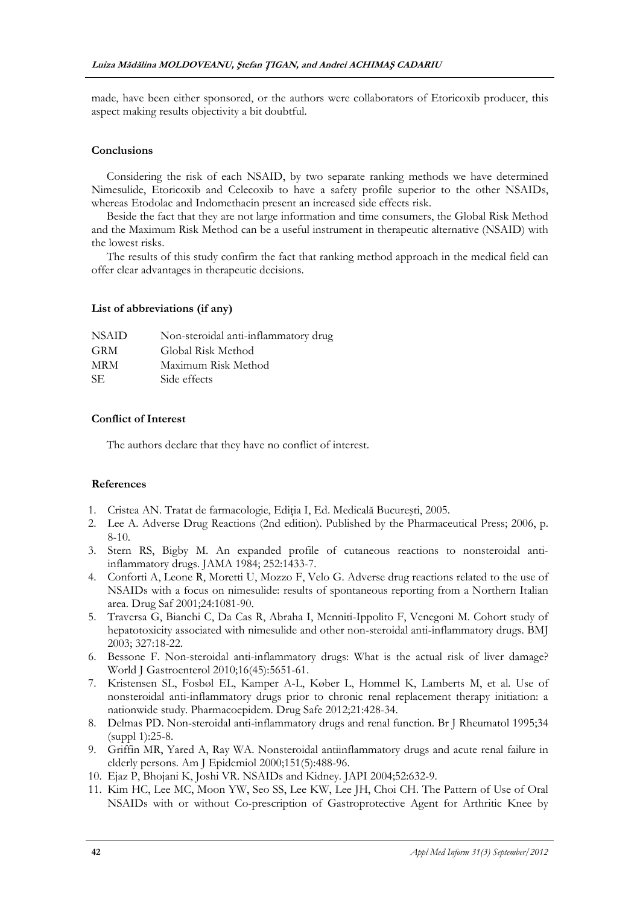made, have been either sponsored, or the authors were collaborators of Etoricoxib producer, this aspect making results objectivity a bit doubtful.

## **Conclusions**

Considering the risk of each NSAID, by two separate ranking methods we have determined Nimesulide, Etoricoxib and Celecoxib to have a safety profile superior to the other NSAIDs, whereas Etodolac and Indomethacin present an increased side effects risk.

Beside the fact that they are not large information and time consumers, the Global Risk Method and the Maximum Risk Method can be a useful instrument in therapeutic alternative (NSAID) with the lowest risks.

The results of this study confirm the fact that ranking method approach in the medical field can offer clear advantages in therapeutic decisions.

## **List of abbreviations (if any)**

| <b>NSAID</b> | Non-steroidal anti-inflammatory drug |
|--------------|--------------------------------------|
| <b>GRM</b>   | Global Risk Method                   |
| MRM.         | Maximum Risk Method                  |
| SE.          | Side effects                         |

## **Conflict of Interest**

The authors declare that they have no conflict of interest.

## **References**

- 1. Cristea AN. Tratat de farmacologie, Ediţia I, Ed. Medicală Bucureşti, 2005.
- 2. Lee A. Adverse Drug Reactions (2nd edition). Published by the Pharmaceutical Press; 2006, p. 8-10.
- 3. Stern RS, Bigby M. An expanded profile of cutaneous reactions to nonsteroidal antiinflammatory drugs. JAMA 1984; 252:1433-7.
- 4. Conforti A, Leone R, Moretti U, Mozzo F, Velo G. Adverse drug reactions related to the use of NSAIDs with a focus on nimesulide: results of spontaneous reporting from a Northern Italian area. Drug Saf 2001;24:1081-90.
- 5. Traversa G, Bianchi C, Da Cas R, Abraha I, Menniti-Ippolito F, Venegoni M. Cohort study of hepatotoxicity associated with nimesulide and other non-steroidal anti-inflammatory drugs. BMJ 2003; 327:18-22.
- 6. Bessone F. Non-steroidal anti-inflammatory drugs: What is the actual risk of liver damage? World J Gastroenterol 2010;16(45):5651-61.
- 7. Kristensen SL, Fosbøl EL, Kamper A-L, Køber L, Hommel K, Lamberts M, et al. Use of nonsteroidal anti-inflammatory drugs prior to chronic renal replacement therapy initiation: a nationwide study. Pharmacoepidem. Drug Safe 2012;21:428-34.
- 8. Delmas PD. Non-steroidal anti-inflammatory drugs and renal function. Br J Rheumatol 1995;34 (suppl 1):25-8.
- 9. Griffin MR, Yared A, Ray WA. Nonsteroidal antiinflammatory drugs and acute renal failure in elderly persons. Am J Epidemiol 2000;151(5):488-96.
- 10. Ejaz P, Bhojani K, Joshi VR. NSAIDs and Kidney. JAPI 2004;52:632-9.
- 11. Kim HC, Lee MC, Moon YW, Seo SS, Lee KW, Lee JH, Choi CH. The Pattern of Use of Oral NSAIDs with or without Co-prescription of Gastroprotective Agent for Arthritic Knee by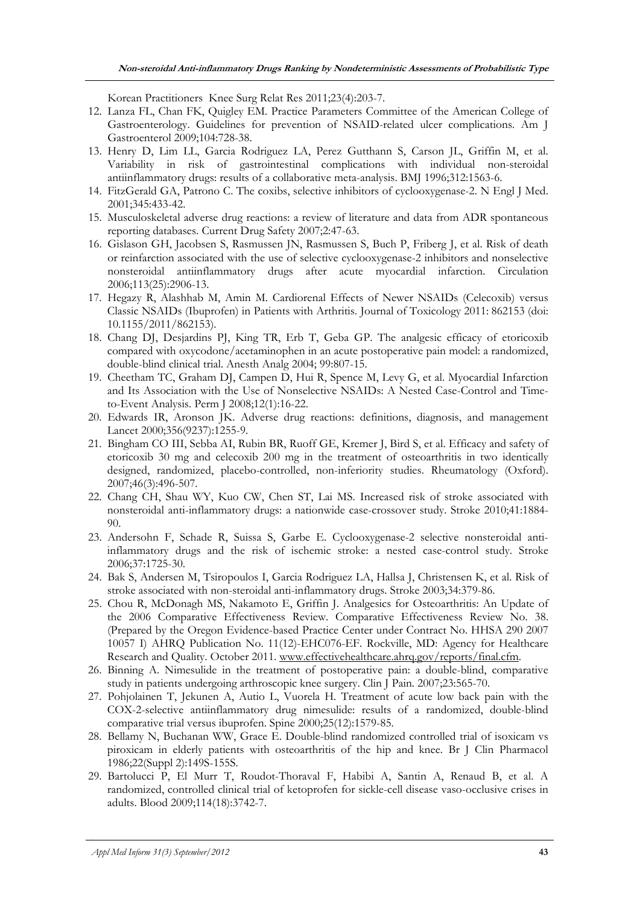Korean Practitioners Knee Surg Relat Res 2011;23(4):203-7.

- 12. Lanza FL, Chan FK, Quigley EM. Practice Parameters Committee of the American College of Gastroenterology. Guidelines for prevention of NSAID-related ulcer complications. Am J Gastroenterol 2009;104:728-38.
- 13. Henry D, Lim LL, Garcia Rodriguez LA, Perez Gutthann S, Carson JL, Griffin M, et al. Variability in risk of gastrointestinal complications with individual non-steroidal antiinflammatory drugs: results of a collaborative meta-analysis. BMJ 1996;312:1563-6.
- 14. FitzGerald GA, Patrono C. The coxibs, selective inhibitors of cyclooxygenase-2. N Engl J Med. 2001;345:433-42.
- 15. Musculoskeletal adverse drug reactions: a review of literature and data from ADR spontaneous reporting databases. Current Drug Safety 2007;2:47-63.
- 16. Gislason GH, Jacobsen S, Rasmussen JN, Rasmussen S, Buch P, Friberg J, et al. Risk of death or reinfarction associated with the use of selective cyclooxygenase-2 inhibitors and nonselective nonsteroidal antiinflammatory drugs after acute myocardial infarction. Circulation 2006;113(25):2906-13.
- 17. Hegazy R, Alashhab M, Amin M. Cardiorenal Effects of Newer NSAIDs (Celecoxib) versus Classic NSAIDs (Ibuprofen) in Patients with Arthritis. Journal of Toxicology 2011: 862153 (doi: 10.1155/2011/862153).
- 18. Chang DJ, Desjardins PJ, King TR, Erb T, Geba GP. The analgesic efficacy of etoricoxib compared with oxycodone/acetaminophen in an acute postoperative pain model: a randomized, double-blind clinical trial. Anesth Analg 2004; 99:807-15.
- 19. Cheetham TC, Graham DJ, Campen D, Hui R, Spence M, Levy G, et al. Myocardial Infarction and Its Association with the Use of Nonselective NSAIDs: A Nested Case-Control and Timeto-Event Analysis. Perm J 2008;12(1):16-22.
- 20. Edwards IR, Aronson JK. Adverse drug reactions: definitions, diagnosis, and management Lancet 2000;356(9237):1255-9.
- 21. Bingham CO III, Sebba AI, Rubin BR, Ruoff GE, Kremer J, Bird S, et al. Efficacy and safety of etoricoxib 30 mg and celecoxib 200 mg in the treatment of osteoarthritis in two identically designed, randomized, placebo-controlled, non-inferiority studies. Rheumatology (Oxford). 2007;46(3):496-507.
- 22. Chang CH, Shau WY, Kuo CW, Chen ST, Lai MS. Increased risk of stroke associated with nonsteroidal anti-inflammatory drugs: a nationwide case-crossover study. Stroke 2010;41:1884- 90.
- 23. Andersohn F, Schade R, Suissa S, Garbe E. Cyclooxygenase-2 selective nonsteroidal antiinflammatory drugs and the risk of ischemic stroke: a nested case-control study. Stroke 2006;37:1725-30.
- 24. Bak S, Andersen M, Tsiropoulos I, Garcia Rodriguez LA, Hallsa J, Christensen K, et al. Risk of stroke associated with non-steroidal anti-inflammatory drugs. Stroke 2003;34:379-86.
- 25. Chou R, McDonagh MS, Nakamoto E, Griffin J. Analgesics for Osteoarthritis: An Update of the 2006 Comparative Effectiveness Review. Comparative Effectiveness Review No. 38. (Prepared by the Oregon Evidence-based Practice Center under Contract No. HHSA 290 2007 10057 I) AHRQ Publication No. 11(12)-EHC076-EF. Rockville, MD: Agency for Healthcare Research and Quality. October 2011. www.effectivehealthcare.ahrq.gov/reports/final.cfm.
- 26. Binning A. Nimesulide in the treatment of postoperative pain: a double-blind, comparative study in patients undergoing arthroscopic knee surgery. Clin J Pain. 2007;23:565-70.
- 27. Pohjolainen T, Jekunen A, Autio L, Vuorela H. Treatment of acute low back pain with the COX-2-selective antiinflammatory drug nimesulide: results of a randomized, double-blind comparative trial versus ibuprofen. Spine 2000;25(12):1579-85.
- 28. Bellamy N, Buchanan WW, Grace E. Double-blind randomized controlled trial of isoxicam vs piroxicam in elderly patients with osteoarthritis of the hip and knee. Br J Clin Pharmacol 1986;22(Suppl 2):149S-155S.
- 29. Bartolucci P, El Murr T, Roudot-Thoraval F, Habibi A, Santin A, Renaud B, et al. A randomized, controlled clinical trial of ketoprofen for sickle-cell disease vaso-occlusive crises in adults. Blood 2009;114(18):3742-7.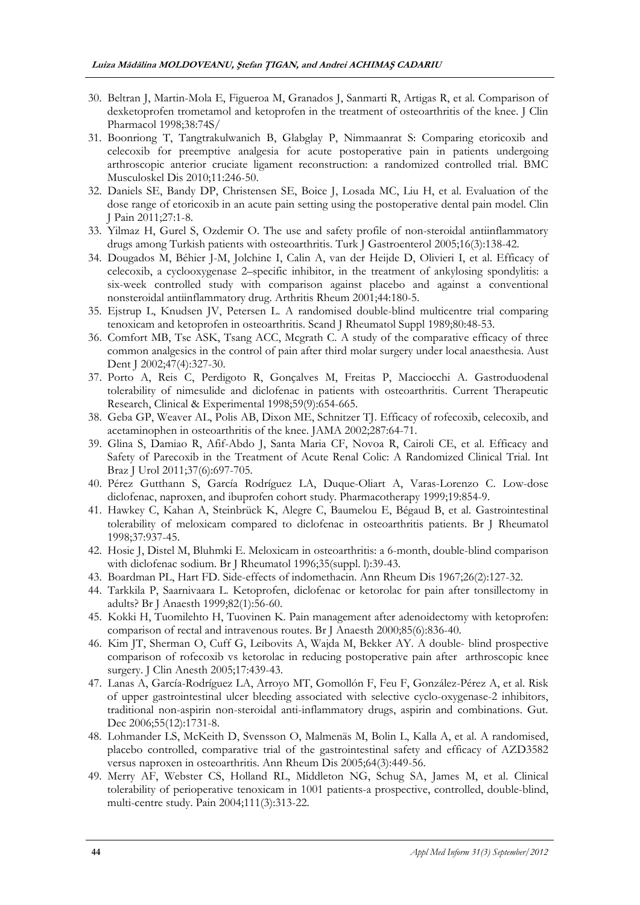- 30. Beltran J, Martin-Mola E, Figueroa M, Granados J, Sanmarti R, Artigas R, et al. Comparison of dexketoprofen trometamol and ketoprofen in the treatment of osteoarthritis of the knee. J Clin Pharmacol 1998;38:74S/
- 31. Boonriong T, Tangtrakulwanich B, Glabglay P, Nimmaanrat S: Comparing etoricoxib and celecoxib for preemptive analgesia for acute postoperative pain in patients undergoing arthroscopic anterior cruciate ligament reconstruction: a randomized controlled trial. BMC Musculoskel Dis 2010;11:246-50.
- 32. Daniels SE, Bandy DP, Christensen SE, Boice J, Losada MC, Liu H, et al. Evaluation of the dose range of etoricoxib in an acute pain setting using the postoperative dental pain model. Clin J Pain 2011;27:1-8.
- 33. Yilmaz H, Gurel S, Ozdemir O. The use and safety profile of non-steroidal antiinflammatory drugs among Turkish patients with osteoarthritis. Turk J Gastroenterol 2005;16(3):138-42.
- 34. Dougados M, Béhier J-M, Jolchine I, Calin A, van der Heijde D, Olivieri I, et al. Efficacy of celecoxib, a cyclooxygenase 2–specific inhibitor, in the treatment of ankylosing spondylitis: a six-week controlled study with comparison against placebo and against a conventional nonsteroidal antiinflammatory drug. Arthritis Rheum 2001;44:180-5.
- 35. Ejstrup L, Knudsen JV, Petersen L. A randomised double-blind multicentre trial comparing tenoxicam and ketoprofen in osteoarthritis. Scand J Rheumatol Suppl 1989;80:48-53.
- 36. Comfort MB, Tse ASK, Tsang ACC, Mcgrath C. A study of the comparative efficacy of three common analgesics in the control of pain after third molar surgery under local anaesthesia. Aust Dent J 2002;47(4):327-30.
- 37. Porto A, Reis C, Perdigoto R, Gonçalves M, Freitas P, Macciocchi A. Gastroduodenal tolerability of nimesulide and diclofenac in patients with osteoarthritis. Current Therapeutic Research, Clinical & Experimental 1998;59(9):654-665.
- 38. Geba GP, Weaver AL, Polis AB, Dixon ME, Schnitzer TJ. Efficacy of rofecoxib, celecoxib, and acetaminophen in osteoarthritis of the knee. JAMA 2002;287:64-71.
- 39. Glina S, Damiao R, Afif-Abdo J, Santa Maria CF, Novoa R, Cairoli CE, et al. Efficacy and Safety of Parecoxib in the Treatment of Acute Renal Colic: A Randomized Clinical Trial. Int Braz J Urol 2011;37(6):697-705.
- 40. Pérez Gutthann S, García Rodríguez LA, Duque-Oliart A, Varas-Lorenzo C. Low-dose diclofenac, naproxen, and ibuprofen cohort study. Pharmacotherapy 1999;19:854-9.
- 41. Hawkey C, Kahan A, Steinbrück K, Alegre C, Baumelou E, Bégaud B, et al. Gastrointestinal tolerability of meloxicam compared to diclofenac in osteoarthritis patients. Br J Rheumatol 1998;37:937-45.
- 42. Hosie J, Distel M, Bluhmki E. Meloxicam in osteoarthritis: a 6-month, double-blind comparison with diclofenac sodium. Br J Rheumatol 1996;35(suppl. l):39-43.
- 43. Boardman PL, Hart FD. Side-effects of indomethacin. Ann Rheum Dis 1967;26(2):127-32.
- 44. Tarkkila P, Saarnivaara L. Ketoprofen, diclofenac or ketorolac for pain after tonsillectomy in adults? Br J Anaesth 1999;82(1):56-60.
- 45. Kokki H, Tuomilehto H, Tuovinen K. Pain management after adenoidectomy with ketoprofen: comparison of rectal and intravenous routes. Br J Anaesth 2000;85(6):836-40.
- 46. Kim JT, Sherman O, Cuff G, Leibovits A, Wajda M, Bekker AY. A double- blind prospective comparison of rofecoxib vs ketorolac in reducing postoperative pain after arthroscopic knee surgery. J Clin Anesth 2005;17:439-43.
- 47. Lanas A, García-Rodríguez LA, Arroyo MT, Gomollón F, Feu F, González-Pérez A, et al. Risk of upper gastrointestinal ulcer bleeding associated with selective cyclo-oxygenase-2 inhibitors, traditional non-aspirin non-steroidal anti-inflammatory drugs, aspirin and combinations. Gut. Dec 2006;55(12):1731-8.
- 48. Lohmander LS, McKeith D, Svensson O, Malmenäs M, Bolin L, Kalla A, et al. A randomised, placebo controlled, comparative trial of the gastrointestinal safety and efficacy of AZD3582 versus naproxen in osteoarthritis. Ann Rheum Dis 2005;64(3):449-56.
- 49. Merry AF, Webster CS, Holland RL, Middleton NG, Schug SA, James M, et al. Clinical tolerability of perioperative tenoxicam in 1001 patients-a prospective, controlled, double-blind, multi-centre study. Pain 2004;111(3):313-22.